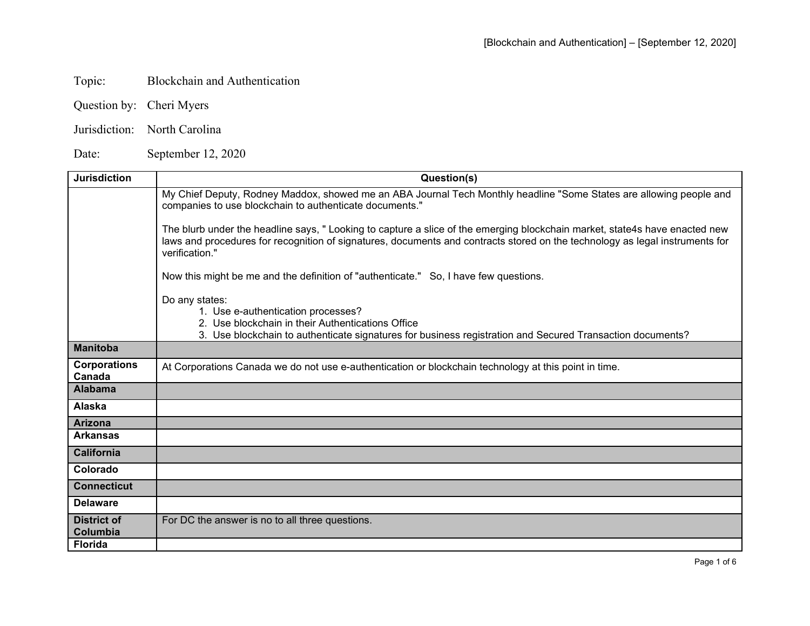## Topic: Blockchain and Authentication

- Question by: Cheri Myers
- Jurisdiction: North Carolina

Date: September 12, 2020

| <b>Jurisdiction</b>            | Question(s)                                                                                                                                                                                                                                                                   |
|--------------------------------|-------------------------------------------------------------------------------------------------------------------------------------------------------------------------------------------------------------------------------------------------------------------------------|
|                                | My Chief Deputy, Rodney Maddox, showed me an ABA Journal Tech Monthly headline "Some States are allowing people and<br>companies to use blockchain to authenticate documents."                                                                                                |
|                                | The blurb under the headline says, " Looking to capture a slice of the emerging blockchain market, state4s have enacted new<br>laws and procedures for recognition of signatures, documents and contracts stored on the technology as legal instruments for<br>verification." |
|                                | Now this might be me and the definition of "authenticate." So, I have few questions.                                                                                                                                                                                          |
|                                | Do any states:                                                                                                                                                                                                                                                                |
|                                | 1. Use e-authentication processes?<br>2. Use blockchain in their Authentications Office                                                                                                                                                                                       |
|                                | 3. Use blockchain to authenticate signatures for business registration and Secured Transaction documents?                                                                                                                                                                     |
| <b>Manitoba</b>                |                                                                                                                                                                                                                                                                               |
| <b>Corporations</b><br>Canada  | At Corporations Canada we do not use e-authentication or blockchain technology at this point in time.                                                                                                                                                                         |
| <b>Alabama</b>                 |                                                                                                                                                                                                                                                                               |
| Alaska                         |                                                                                                                                                                                                                                                                               |
| <b>Arizona</b>                 |                                                                                                                                                                                                                                                                               |
| <b>Arkansas</b>                |                                                                                                                                                                                                                                                                               |
| <b>California</b>              |                                                                                                                                                                                                                                                                               |
| Colorado                       |                                                                                                                                                                                                                                                                               |
| <b>Connecticut</b>             |                                                                                                                                                                                                                                                                               |
| <b>Delaware</b>                |                                                                                                                                                                                                                                                                               |
| <b>District of</b><br>Columbia | For DC the answer is no to all three questions.                                                                                                                                                                                                                               |
| <b>Florida</b>                 |                                                                                                                                                                                                                                                                               |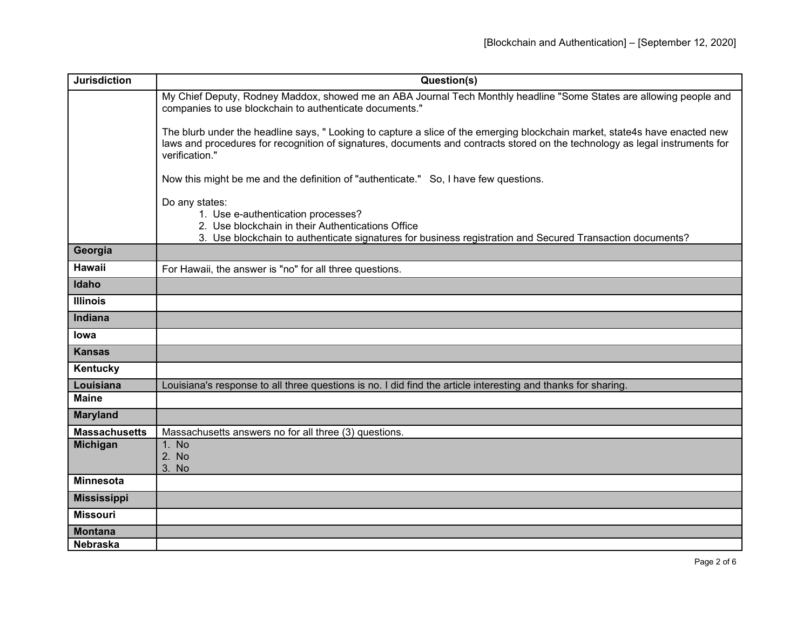| <b>Jurisdiction</b>  | Question(s)                                                                                                                                                                                                                                                                  |
|----------------------|------------------------------------------------------------------------------------------------------------------------------------------------------------------------------------------------------------------------------------------------------------------------------|
|                      | My Chief Deputy, Rodney Maddox, showed me an ABA Journal Tech Monthly headline "Some States are allowing people and<br>companies to use blockchain to authenticate documents."                                                                                               |
|                      | The blurb under the headline says, "Looking to capture a slice of the emerging blockchain market, state4s have enacted new<br>laws and procedures for recognition of signatures, documents and contracts stored on the technology as legal instruments for<br>verification." |
|                      | Now this might be me and the definition of "authenticate." So, I have few questions.                                                                                                                                                                                         |
|                      | Do any states:<br>1. Use e-authentication processes?<br>2. Use blockchain in their Authentications Office<br>3. Use blockchain to authenticate signatures for business registration and Secured Transaction documents?                                                       |
| Georgia              |                                                                                                                                                                                                                                                                              |
| <b>Hawaii</b>        | For Hawaii, the answer is "no" for all three questions.                                                                                                                                                                                                                      |
| Idaho                |                                                                                                                                                                                                                                                                              |
| <b>Illinois</b>      |                                                                                                                                                                                                                                                                              |
| Indiana              |                                                                                                                                                                                                                                                                              |
| <b>lowa</b>          |                                                                                                                                                                                                                                                                              |
| <b>Kansas</b>        |                                                                                                                                                                                                                                                                              |
| Kentucky             |                                                                                                                                                                                                                                                                              |
| Louisiana            | Louisiana's response to all three questions is no. I did find the article interesting and thanks for sharing.                                                                                                                                                                |
| <b>Maine</b>         |                                                                                                                                                                                                                                                                              |
| <b>Maryland</b>      |                                                                                                                                                                                                                                                                              |
| <b>Massachusetts</b> | Massachusetts answers no for all three (3) questions.                                                                                                                                                                                                                        |
| <b>Michigan</b>      | 1. No<br>2. No<br>3. No                                                                                                                                                                                                                                                      |
| <b>Minnesota</b>     |                                                                                                                                                                                                                                                                              |
| <b>Mississippi</b>   |                                                                                                                                                                                                                                                                              |
| <b>Missouri</b>      |                                                                                                                                                                                                                                                                              |
| <b>Montana</b>       |                                                                                                                                                                                                                                                                              |
| <b>Nebraska</b>      |                                                                                                                                                                                                                                                                              |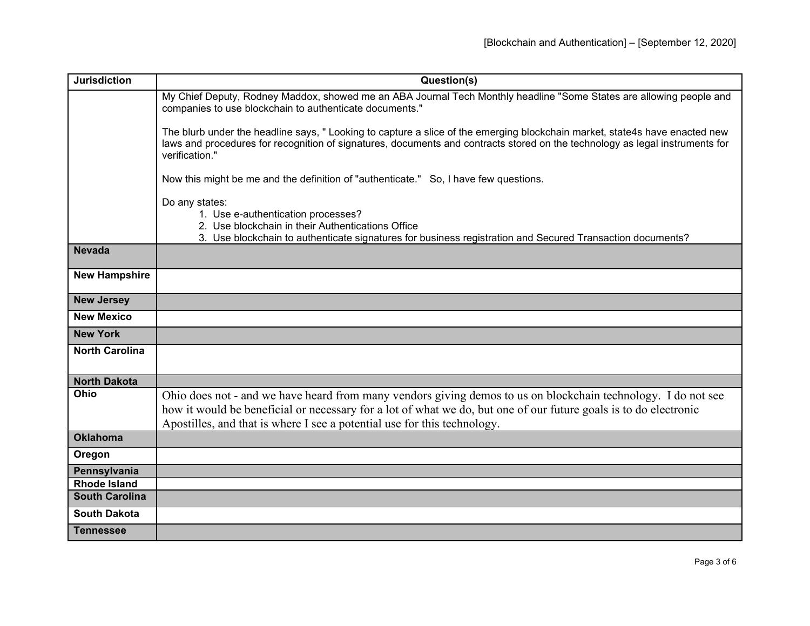| <b>Jurisdiction</b>   | Question(s)                                                                                                                                                                                                                                                                                                   |
|-----------------------|---------------------------------------------------------------------------------------------------------------------------------------------------------------------------------------------------------------------------------------------------------------------------------------------------------------|
|                       | My Chief Deputy, Rodney Maddox, showed me an ABA Journal Tech Monthly headline "Some States are allowing people and<br>companies to use blockchain to authenticate documents."                                                                                                                                |
|                       | The blurb under the headline says, "Looking to capture a slice of the emerging blockchain market, state4s have enacted new<br>laws and procedures for recognition of signatures, documents and contracts stored on the technology as legal instruments for<br>verification."                                  |
|                       | Now this might be me and the definition of "authenticate." So, I have few questions.                                                                                                                                                                                                                          |
|                       | Do any states:<br>1. Use e-authentication processes?<br>2. Use blockchain in their Authentications Office<br>3. Use blockchain to authenticate signatures for business registration and Secured Transaction documents?                                                                                        |
| <b>Nevada</b>         |                                                                                                                                                                                                                                                                                                               |
| <b>New Hampshire</b>  |                                                                                                                                                                                                                                                                                                               |
| <b>New Jersey</b>     |                                                                                                                                                                                                                                                                                                               |
| <b>New Mexico</b>     |                                                                                                                                                                                                                                                                                                               |
| <b>New York</b>       |                                                                                                                                                                                                                                                                                                               |
| <b>North Carolina</b> |                                                                                                                                                                                                                                                                                                               |
| <b>North Dakota</b>   |                                                                                                                                                                                                                                                                                                               |
| Ohio                  | Ohio does not - and we have heard from many vendors giving demos to us on blockchain technology. I do not see<br>how it would be beneficial or necessary for a lot of what we do, but one of our future goals is to do electronic<br>Apostilles, and that is where I see a potential use for this technology. |
| <b>Oklahoma</b>       |                                                                                                                                                                                                                                                                                                               |
| Oregon                |                                                                                                                                                                                                                                                                                                               |
| Pennsylvania          |                                                                                                                                                                                                                                                                                                               |
| <b>Rhode Island</b>   |                                                                                                                                                                                                                                                                                                               |
| <b>South Carolina</b> |                                                                                                                                                                                                                                                                                                               |
| <b>South Dakota</b>   |                                                                                                                                                                                                                                                                                                               |
| <b>Tennessee</b>      |                                                                                                                                                                                                                                                                                                               |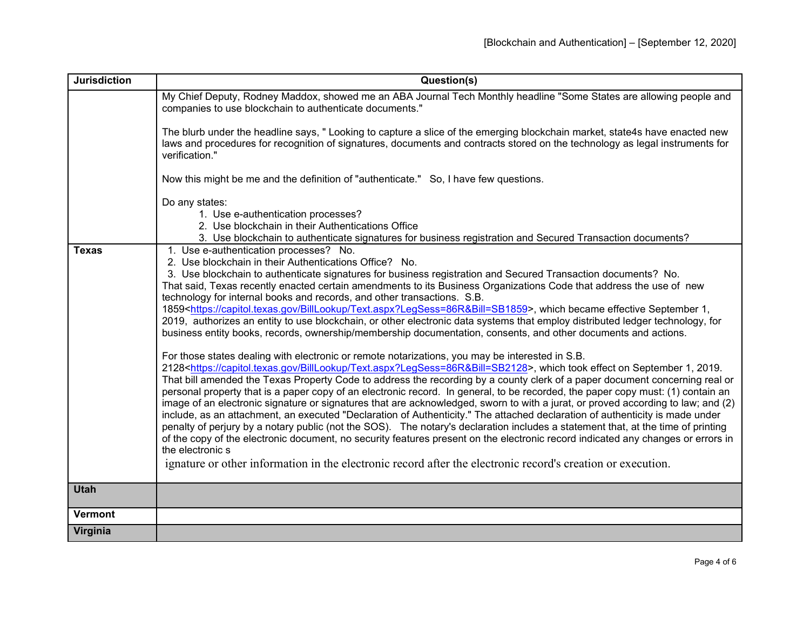| <b>Jurisdiction</b> | Question(s)                                                                                                                                                                                                                                                                                                                                                                                                                                                                                                                                                                                                                                                                                                                                                                                                                                                                                                                                                                                                                                                                                                                                                                                                                                                                                                                                                                                                                                                                                                                                                                                                                                                                                                                                                                                                                                                                                                                                                                                                                   |
|---------------------|-------------------------------------------------------------------------------------------------------------------------------------------------------------------------------------------------------------------------------------------------------------------------------------------------------------------------------------------------------------------------------------------------------------------------------------------------------------------------------------------------------------------------------------------------------------------------------------------------------------------------------------------------------------------------------------------------------------------------------------------------------------------------------------------------------------------------------------------------------------------------------------------------------------------------------------------------------------------------------------------------------------------------------------------------------------------------------------------------------------------------------------------------------------------------------------------------------------------------------------------------------------------------------------------------------------------------------------------------------------------------------------------------------------------------------------------------------------------------------------------------------------------------------------------------------------------------------------------------------------------------------------------------------------------------------------------------------------------------------------------------------------------------------------------------------------------------------------------------------------------------------------------------------------------------------------------------------------------------------------------------------------------------------|
|                     | My Chief Deputy, Rodney Maddox, showed me an ABA Journal Tech Monthly headline "Some States are allowing people and<br>companies to use blockchain to authenticate documents."                                                                                                                                                                                                                                                                                                                                                                                                                                                                                                                                                                                                                                                                                                                                                                                                                                                                                                                                                                                                                                                                                                                                                                                                                                                                                                                                                                                                                                                                                                                                                                                                                                                                                                                                                                                                                                                |
|                     | The blurb under the headline says, " Looking to capture a slice of the emerging blockchain market, state4s have enacted new<br>laws and procedures for recognition of signatures, documents and contracts stored on the technology as legal instruments for<br>verification."                                                                                                                                                                                                                                                                                                                                                                                                                                                                                                                                                                                                                                                                                                                                                                                                                                                                                                                                                                                                                                                                                                                                                                                                                                                                                                                                                                                                                                                                                                                                                                                                                                                                                                                                                 |
|                     | Now this might be me and the definition of "authenticate." So, I have few questions.                                                                                                                                                                                                                                                                                                                                                                                                                                                                                                                                                                                                                                                                                                                                                                                                                                                                                                                                                                                                                                                                                                                                                                                                                                                                                                                                                                                                                                                                                                                                                                                                                                                                                                                                                                                                                                                                                                                                          |
|                     | Do any states:<br>1. Use e-authentication processes?<br>2. Use blockchain in their Authentications Office<br>3. Use blockchain to authenticate signatures for business registration and Secured Transaction documents?                                                                                                                                                                                                                                                                                                                                                                                                                                                                                                                                                                                                                                                                                                                                                                                                                                                                                                                                                                                                                                                                                                                                                                                                                                                                                                                                                                                                                                                                                                                                                                                                                                                                                                                                                                                                        |
| <b>Texas</b>        | 1. Use e-authentication processes? No.<br>2. Use blockchain in their Authentications Office? No.<br>3. Use blockchain to authenticate signatures for business registration and Secured Transaction documents? No.<br>That said, Texas recently enacted certain amendments to its Business Organizations Code that address the use of new<br>technology for internal books and records, and other transactions. S.B.<br>1859 <https: billlookup="" capitol.texas.gov="" text.aspx?legsess="86R&amp;Bill=SB1859">, which became effective September 1,<br/>2019, authorizes an entity to use blockchain, or other electronic data systems that employ distributed ledger technology, for<br/>business entity books, records, ownership/membership documentation, consents, and other documents and actions.<br/>For those states dealing with electronic or remote notarizations, you may be interested in S.B.<br/>2128<https: billlookup="" capitol.texas.gov="" text.aspx?legsess="86R&amp;Bill=SB2128">, which took effect on September 1, 2019.<br/>That bill amended the Texas Property Code to address the recording by a county clerk of a paper document concerning real or<br/>personal property that is a paper copy of an electronic record. In general, to be recorded, the paper copy must: (1) contain an<br/>image of an electronic signature or signatures that are acknowledged, sworn to with a jurat, or proved according to law; and (2)<br/>include, as an attachment, an executed "Declaration of Authenticity." The attached declaration of authenticity is made under<br/>penalty of perjury by a notary public (not the SOS). The notary's declaration includes a statement that, at the time of printing<br/>of the copy of the electronic document, no security features present on the electronic record indicated any changes or errors in<br/>the electronic s<br/>ignature or other information in the electronic record after the electronic record's creation or execution.</https:></https:> |
| <b>Utah</b>         |                                                                                                                                                                                                                                                                                                                                                                                                                                                                                                                                                                                                                                                                                                                                                                                                                                                                                                                                                                                                                                                                                                                                                                                                                                                                                                                                                                                                                                                                                                                                                                                                                                                                                                                                                                                                                                                                                                                                                                                                                               |
| <b>Vermont</b>      |                                                                                                                                                                                                                                                                                                                                                                                                                                                                                                                                                                                                                                                                                                                                                                                                                                                                                                                                                                                                                                                                                                                                                                                                                                                                                                                                                                                                                                                                                                                                                                                                                                                                                                                                                                                                                                                                                                                                                                                                                               |
| Virginia            |                                                                                                                                                                                                                                                                                                                                                                                                                                                                                                                                                                                                                                                                                                                                                                                                                                                                                                                                                                                                                                                                                                                                                                                                                                                                                                                                                                                                                                                                                                                                                                                                                                                                                                                                                                                                                                                                                                                                                                                                                               |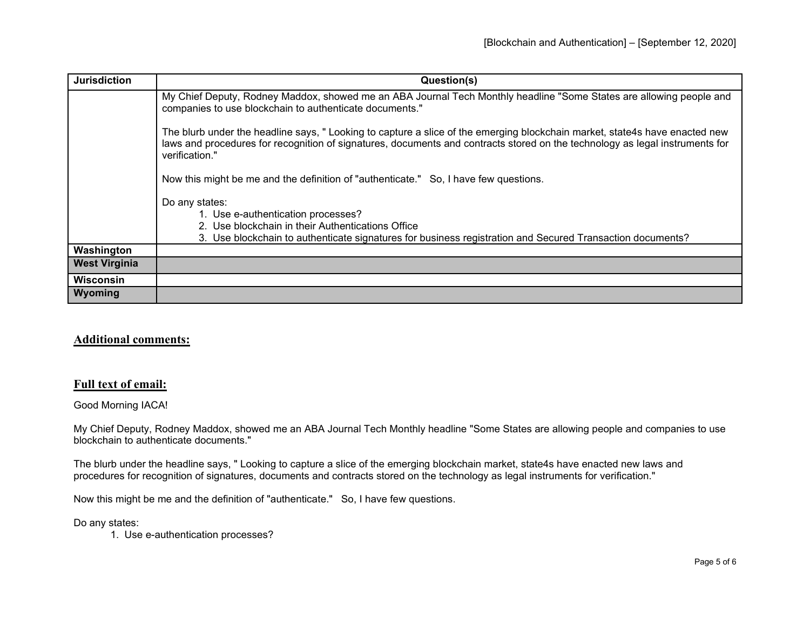| <b>Jurisdiction</b>  | Question(s)                                                                                                                                                                                                                                                                   |
|----------------------|-------------------------------------------------------------------------------------------------------------------------------------------------------------------------------------------------------------------------------------------------------------------------------|
|                      | My Chief Deputy, Rodney Maddox, showed me an ABA Journal Tech Monthly headline "Some States are allowing people and<br>companies to use blockchain to authenticate documents."                                                                                                |
|                      | The blurb under the headline says, " Looking to capture a slice of the emerging blockchain market, state4s have enacted new<br>laws and procedures for recognition of signatures, documents and contracts stored on the technology as legal instruments for<br>verification." |
|                      | Now this might be me and the definition of "authenticate." So, I have few questions.                                                                                                                                                                                          |
|                      | Do any states:                                                                                                                                                                                                                                                                |
|                      | 1. Use e-authentication processes?                                                                                                                                                                                                                                            |
|                      | 2. Use blockchain in their Authentications Office<br>3. Use blockchain to authenticate signatures for business registration and Secured Transaction documents?                                                                                                                |
| Washington           |                                                                                                                                                                                                                                                                               |
| <b>West Virginia</b> |                                                                                                                                                                                                                                                                               |
| <b>Wisconsin</b>     |                                                                                                                                                                                                                                                                               |
| Wyoming              |                                                                                                                                                                                                                                                                               |

## **Additional comments:**

## **Full text of email:**

## Good Morning IACA!

My Chief Deputy, Rodney Maddox, showed me an ABA Journal Tech Monthly headline "Some States are allowing people and companies to use blockchain to authenticate documents."

The blurb under the headline says, " Looking to capture a slice of the emerging blockchain market, state4s have enacted new laws and procedures for recognition of signatures, documents and contracts stored on the technology as legal instruments for verification."

Now this might be me and the definition of "authenticate." So, I have few questions.

Do any states:

1. Use e-authentication processes?